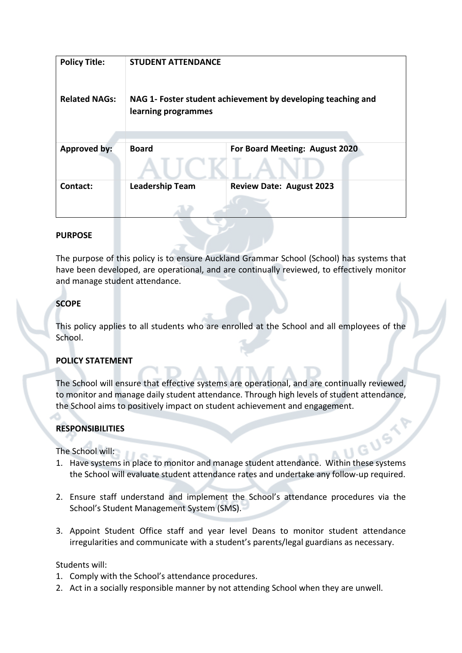| <b>Policy Title:</b> | <b>STUDENT ATTENDANCE</b>                                                           |                                 |
|----------------------|-------------------------------------------------------------------------------------|---------------------------------|
| <b>Related NAGs:</b> | NAG 1- Foster student achievement by developing teaching and<br>learning programmes |                                 |
| <b>Approved by:</b>  | <b>Board</b>                                                                        | For Board Meeting: August 2020  |
| Contact:             | <b>Leadership Team</b>                                                              | <b>Review Date: August 2023</b> |

#### **PURPOSE**

The purpose of this policy is to ensure Auckland Grammar School (School) has systems that have been developed, are operational, and are continually reviewed, to effectively monitor and manage student attendance.

## **SCOPE**

This policy applies to all students who are enrolled at the School and all employees of the School.

### **POLICY STATEMENT**

The School will ensure that effective systems are operational, and are continually reviewed, to monitor and manage daily student attendance. Through high levels of student attendance,

# **RESPONSIBILITIES**

The School will:

- the School aims to positively impact on student achievement and engagement.<br> **RESPONSIBILITIES**<br>
The School will:<br>
1. Have system 1. Have systems in place to monitor and manage student attendance. Within these systems the School will evaluate student attendance rates and undertake any follow-up required.
- 2. Ensure staff understand and implement the School's attendance procedures via the School's Student Management System (SMS).
- 3. Appoint Student Office staff and year level Deans to monitor student attendance irregularities and communicate with a student's parents/legal guardians as necessary.

Students will:

- 1. Comply with the School's attendance procedures.
- 2. Act in a socially responsible manner by not attending School when they are unwell.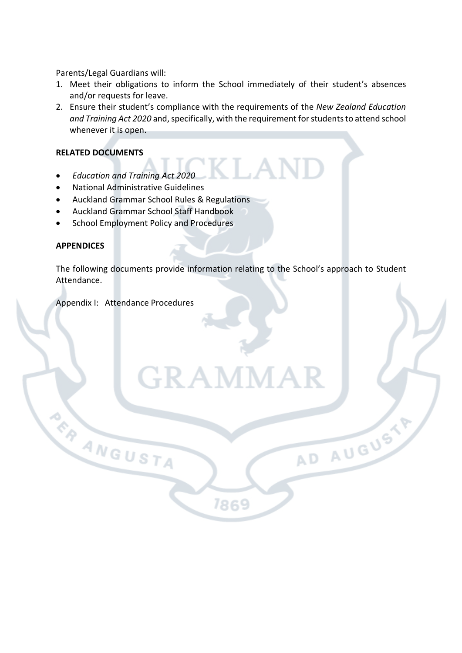Parents/Legal Guardians will:

- 1. Meet their obligations to inform the School immediately of their student's absences and/or requests for leave.
- 2. Ensure their student's compliance with the requirements of the *New Zealand Education and Training Act 2020* and, specifically, with the requirement for students to attend school whenever it is open.

#### **RELATED DOCUMENTS**

- *Education and Training Act 2020*
- National Administrative Guidelines
- Auckland Grammar School Rules & Regulations
- Auckland Grammar School Staff Handbook
- School Employment Policy and Procedures

#### **APPENDICES**

The following documents provide information relating to the School's approach to Student Attendance.

7869

AD AUGUSTY

GRAMN

Appendix I: Attendance Procedures

**RANGUSTA**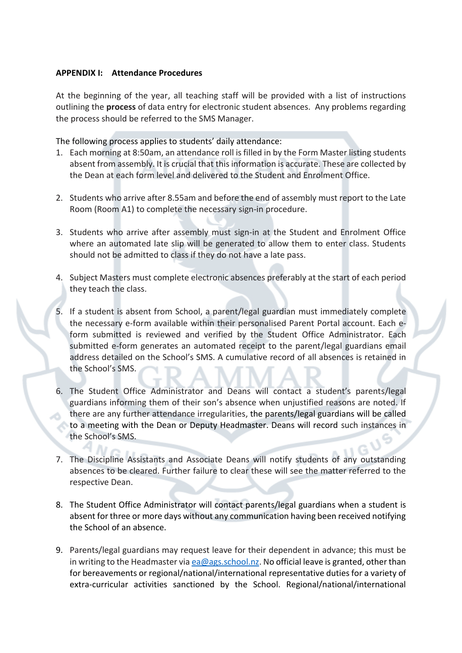#### **APPENDIX I: Attendance Procedures**

At the beginning of the year, all teaching staff will be provided with a list of instructions outlining the **process** of data entry for electronic student absences. Any problems regarding the process should be referred to the SMS Manager.

The following process applies to students' daily attendance:

- 1. Each morning at 8:50am, an attendance roll is filled in by the Form Master listing students absent from assembly. It is crucial that this information is accurate. These are collected by the Dean at each form level and delivered to the Student and Enrolment Office.
- 2. Students who arrive after 8.55am and before the end of assembly must report to the Late Room (Room A1) to complete the necessary sign-in procedure.
- 3. Students who arrive after assembly must sign-in at the Student and Enrolment Office where an automated late slip will be generated to allow them to enter class. Students should not be admitted to class if they do not have a late pass.
- 4. Subject Masters must complete electronic absences preferably at the start of each period they teach the class.
- 5. If a student is absent from School, a parent/legal guardian must immediately complete the necessary e-form available within their personalised Parent Portal account. Each eform submitted is reviewed and verified by the Student Office Administrator. Each submitted e-form generates an automated receipt to the parent/legal guardians email address detailed on the School's SMS. A cumulative record of all absences is retained in the School's SMS.
- 6. The Student Office Administrator and Deans will contact a student's parents/legal guardians informing them of their son's absence when unjustified reasons are noted. If there are any further attendance irregularities, the parents/legal guardians will be called to a meeting with the Dean or Deputy Headmaster. Deans will record such instances in the School's SMS.
- 7. The Discipline Assistants and Associate Deans will notify students of any outstanding absences to be cleared. Further failure to clear these will see the matter referred to the respective Dean.
- 8. The Student Office Administrator will contact parents/legal guardians when a student is absent for three or more days without any communication having been received notifying the School of an absence.
- 9. Parents/legal guardians may request leave for their dependent in advance; this must be in writing to the Headmaster via ea@ags.school.nz. No official leave is granted, other than for bereavements or regional/national/international representative duties for a variety of extra-curricular activities sanctioned by the School. Regional/national/international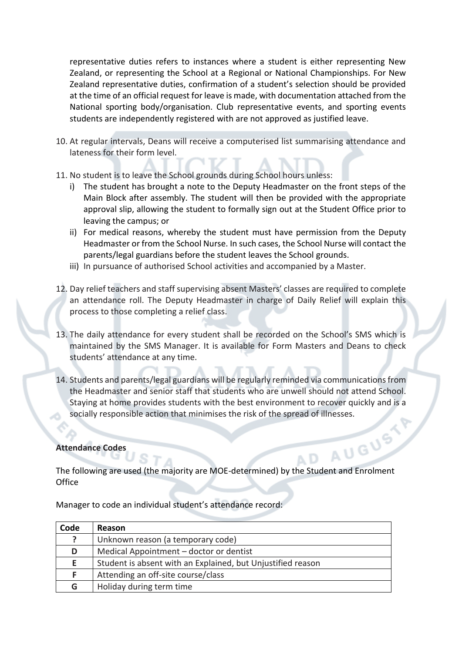representative duties refers to instances where a student is either representing New Zealand, or representing the School at a Regional or National Championships. For New Zealand representative duties, confirmation of a student's selection should be provided at the time of an official request for leave is made, with documentation attached from the National sporting body/organisation. Club representative events, and sporting events students are independently registered with are not approved as justified leave.

- 10. At regular intervals, Deans will receive a computerised list summarising attendance and lateness for their form level.
- 11. No student is to leave the School grounds during School hours unless:
	- i) The student has brought a note to the Deputy Headmaster on the front steps of the Main Block after assembly. The student will then be provided with the appropriate approval slip, allowing the student to formally sign out at the Student Office prior to leaving the campus; or
	- ii) For medical reasons, whereby the student must have permission from the Deputy Headmaster or from the School Nurse. In such cases, the School Nurse will contact the parents/legal guardians before the student leaves the School grounds.
	- iii) In pursuance of authorised School activities and accompanied by a Master.
- 12. Day relief teachers and staff supervising absent Masters' classes are required to complete an attendance roll. The Deputy Headmaster in charge of Daily Relief will explain this process to those completing a relief class.
- 13. The daily attendance for every student shall be recorded on the School's SMS which is maintained by the SMS Manager. It is available for Form Masters and Deans to check students' attendance at any time.
- 14. Students and parents/legal guardians will be regularly reminded via communications from the Headmaster and senior staff that students who are unwell should not attend School. Staying at home provides students with the best environment to recover quickly and is a socially responsible action that minimises the risk of the spread of illnesses.<br>
endance Codes<br>
endance Codes

#### **Attendance Codes**

The following are used (the majority are MOE-determined) by the Student and Enrolment **Office** 

A D

| Reason                                                      |
|-------------------------------------------------------------|
| Unknown reason (a temporary code)                           |
| Medical Appointment – doctor or dentist                     |
| Student is absent with an Explained, but Unjustified reason |
| Attending an off-site course/class                          |
| Holiday during term time                                    |
|                                                             |

Manager to code an individual student's attendance record: